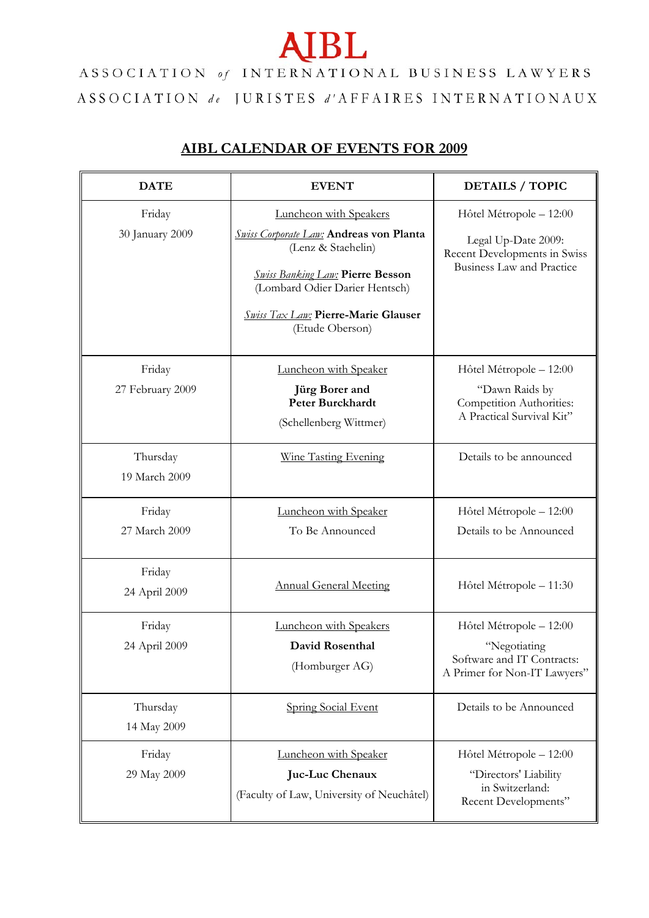## **AIBL**

ASSOCIATION of INTERNATIONAL BUSINESS LAWYERS  $\begin{array}{lllllllllllllllllllllllllllllll} \textbf{ASSOCIATION} & \textit{de} & \texttt{JURISTES} & \textit{d'AFFAIRES} & \texttt{INTERNATIONAUX} \end{array}$ 

## **AIBL CALENDAR OF EVENTS FOR 2009**

| <b>DATE</b>                | <b>EVENT</b>                                                                                                                                                                                                                                 | <b>DETAILS / TOPIC</b>                                                                                             |
|----------------------------|----------------------------------------------------------------------------------------------------------------------------------------------------------------------------------------------------------------------------------------------|--------------------------------------------------------------------------------------------------------------------|
| Friday<br>30 January 2009  | Luncheon with Speakers<br><b>Swiss Corporate Law: Andreas von Planta</b><br>(Lenz & Staehelin)<br><b>Swiss Banking Law: Pierre Besson</b><br>(Lombard Odier Darier Hentsch)<br><b>Swiss Tax Law: Pierre-Marie Glauser</b><br>(Etude Oberson) | Hôtel Métropole - 12:00<br>Legal Up-Date 2009:<br>Recent Developments in Swiss<br><b>Business Law and Practice</b> |
| Friday<br>27 February 2009 | Luncheon with Speaker<br>Jürg Borer and<br><b>Peter Burckhardt</b><br>(Schellenberg Wittmer)                                                                                                                                                 | Hôtel Métropole - 12:00<br>"Dawn Raids by<br>Competition Authorities:<br>A Practical Survival Kit"                 |
| Thursday<br>19 March 2009  | <b>Wine Tasting Evening</b>                                                                                                                                                                                                                  | Details to be announced                                                                                            |
| Friday<br>27 March 2009    | Luncheon with Speaker<br>To Be Announced                                                                                                                                                                                                     | Hôtel Métropole - 12:00<br>Details to be Announced                                                                 |
| Friday<br>24 April 2009    | <b>Annual General Meeting</b>                                                                                                                                                                                                                | Hôtel Métropole - 11:30                                                                                            |
| Friday<br>24 April 2009    | Luncheon with Speakers<br>David Rosenthal<br>(Homburger AG)                                                                                                                                                                                  | Hôtel Métropole - 12:00<br>"Negotiating<br>Software and IT Contracts:<br>A Primer for Non-IT Lawyers"              |
| Thursday<br>14 May 2009    | <b>Spring Social Event</b>                                                                                                                                                                                                                   | Details to be Announced                                                                                            |
| Friday<br>29 May 2009      | Luncheon with Speaker<br>Juc-Luc Chenaux<br>(Faculty of Law, University of Neuchâtel)                                                                                                                                                        | Hôtel Métropole - 12:00<br>"Directors' Liability<br>in Switzerland:<br>Recent Developments"                        |